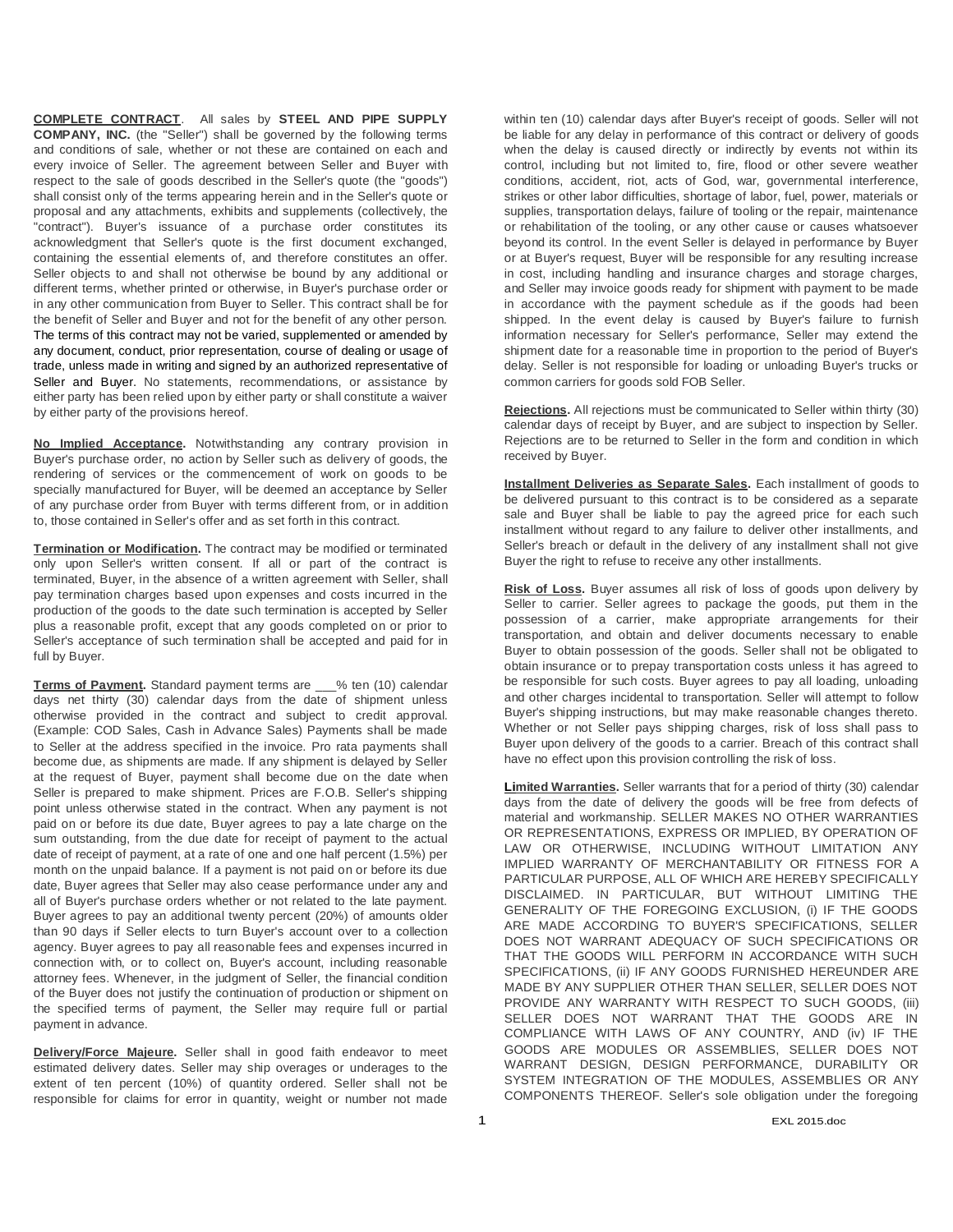**COMPLETE CONTRACT**. All sales by **STEEL AND PIPE SUPPLY COMPANY, INC.** (the "Seller") shall be governed by the following terms and conditions of sale, whether or not these are contained on each and every invoice of Seller. The agreement between Seller and Buyer with respect to the sale of goods described in the Seller's quote (the "goods") shall consist only of the terms appearing herein and in the Seller's quote or proposal and any attachments, exhibits and supplements (collectively, the "contract"). Buyer's issuance of a purchase order constitutes its acknowledgment that Seller's quote is the first document exchanged, containing the essential elements of, and therefore constitutes an offer. Seller objects to and shall not otherwise be bound by any additional or different terms, whether printed or otherwise, in Buyer's purchase order or in any other communication from Buyer to Seller. This contract shall be for the benefit of Seller and Buyer and not for the benefit of any other person. The terms of this contract may not be varied, supplemented or amended by any document, conduct, prior representation, course of dealing or usage of trade, unless made in writing and signed by an authorized representative of Seller and Buyer. No statements, recommendations, or assistance by either party has been relied upon by either party or shall constitute a waiver by either party of the provisions hereof.

**No Implied Acceptance.** Notwithstanding any contrary provision in Buyer's purchase order, no action by Seller such as delivery of goods, the rendering of services or the commencement of work on goods to be specially manufactured for Buyer, will be deemed an acceptance by Seller of any purchase order from Buyer with terms different from, or in addition to, those contained in Seller's offer and as set forth in this contract.

**Termination or Modification.** The contract may be modified or terminated only upon Seller's written consent. If all or part of the contract is terminated, Buyer, in the absence of a written agreement with Seller, shall pay termination charges based upon expenses and costs incurred in the production of the goods to the date such termination is accepted by Seller plus a reasonable profit, except that any goods completed on or prior to Seller's acceptance of such termination shall be accepted and paid for in full by Buyer.

**Terms of Payment.** Standard payment terms are \_\_\_% ten (10) calendar days net thirty (30) calendar days from the date of shipment unless otherwise provided in the contract and subject to credit approval. (Example: COD Sales, Cash in Advance Sales) Payments shall be made to Seller at the address specified in the invoice. Pro rata payments shall become due, as shipments are made. If any shipment is delayed by Seller at the request of Buyer, payment shall become due on the date when Seller is prepared to make shipment. Prices are F.O.B. Seller's shipping point unless otherwise stated in the contract. When any payment is not paid on or before its due date, Buyer agrees to pay a late charge on the sum outstanding, from the due date for receipt of payment to the actual date of receipt of payment, at a rate of one and one half percent (1.5%) per month on the unpaid balance. If a payment is not paid on or before its due date, Buyer agrees that Seller may also cease performance under any and all of Buyer's purchase orders whether or not related to the late payment. Buyer agrees to pay an additional twenty percent (20%) of amounts older than 90 days if Seller elects to turn Buyer's account over to a collection agency. Buyer agrees to pay all reasonable fees and expenses incurred in connection with, or to collect on, Buyer's account, including reasonable attorney fees. Whenever, in the judgment of Seller, the financial condition of the Buyer does not justify the continuation of production or shipment on the specified terms of payment, the Seller may require full or partial payment in advance.

**Delivery/Force Majeure.** Seller shall in good faith endeavor to meet estimated delivery dates. Seller may ship overages or underages to the extent of ten percent (10%) of quantity ordered. Seller shall not be responsible for claims for error in quantity, weight or number not made

within ten (10) calendar days after Buyer's receipt of goods. Seller will not be liable for any delay in performance of this contract or delivery of goods when the delay is caused directly or indirectly by events not within its control, including but not limited to, fire, flood or other severe weather conditions, accident, riot, acts of God, war, governmental interference, strikes or other labor difficulties, shortage of labor, fuel, power, materials or supplies, transportation delays, failure of tooling or the repair, maintenance or rehabilitation of the tooling, or any other cause or causes whatsoever beyond its control. In the event Seller is delayed in performance by Buyer or at Buyer's request, Buyer will be responsible for any resulting increase in cost, including handling and insurance charges and storage charges, and Seller may invoice goods ready for shipment with payment to be made in accordance with the payment schedule as if the goods had been shipped. In the event delay is caused by Buyer's failure to furnish information necessary for Seller's performance, Seller may extend the shipment date for a reasonable time in proportion to the period of Buyer's delay. Seller is not responsible for loading or unloading Buyer's trucks or common carriers for goods sold FOB Seller.

**Rejections.** All rejections must be communicated to Seller within thirty (30) calendar days of receipt by Buyer, and are subject to inspection by Seller. Rejections are to be returned to Seller in the form and condition in which received by Buyer.

**Installment Deliveries as Separate Sales.** Each installment of goods to be delivered pursuant to this contract is to be considered as a separate sale and Buyer shall be liable to pay the agreed price for each such installment without regard to any failure to deliver other installments, and Seller's breach or default in the delivery of any installment shall not give Buyer the right to refuse to receive any other installments.

**Risk of Loss.** Buyer assumes all risk of loss of goods upon delivery by Seller to carrier. Seller agrees to package the goods, put them in the possession of a carrier, make appropriate arrangements for their transportation, and obtain and deliver documents necessary to enable Buyer to obtain possession of the goods. Seller shall not be obligated to obtain insurance or to prepay transportation costs unless it has agreed to be responsible for such costs. Buyer agrees to pay all loading, unloading and other charges incidental to transportation. Seller will attempt to follow Buyer's shipping instructions, but may make reasonable changes thereto. Whether or not Seller pays shipping charges, risk of loss shall pass to Buyer upon delivery of the goods to a carrier. Breach of this contract shall have no effect upon this provision controlling the risk of loss.

**Limited Warranties.** Seller warrants that for a period of thirty (30) calendar days from the date of delivery the goods will be free from defects of material and workmanship. SELLER MAKES NO OTHER WARRANTIES OR REPRESENTATIONS, EXPRESS OR IMPLIED, BY OPERATION OF LAW OR OTHERWISE, INCLUDING WITHOUT LIMITATION ANY IMPLIED WARRANTY OF MERCHANTABILITY OR FITNESS FOR A PARTICULAR PURPOSE, ALL OF WHICH ARE HEREBY SPECIFICALLY DISCLAIMED. IN PARTICULAR, BUT WITHOUT LIMITING THE GENERALITY OF THE FOREGOING EXCLUSION, (i) IF THE GOODS ARE MADE ACCORDING TO BUYER'S SPECIFICATIONS, SELLER DOES NOT WARRANT ADEQUACY OF SUCH SPECIFICATIONS OR THAT THE GOODS WILL PERFORM IN ACCORDANCE WITH SUCH SPECIFICATIONS, (ii) IF ANY GOODS FURNISHED HEREUNDER ARE MADE BY ANY SUPPLIER OTHER THAN SELLER, SELLER DOES NOT PROVIDE ANY WARRANTY WITH RESPECT TO SUCH GOODS, (iii) SELLER DOES NOT WARRANT THAT THE GOODS ARE IN COMPLIANCE WITH LAWS OF ANY COUNTRY, AND (iv) IF THE GOODS ARE MODULES OR ASSEMBLIES, SELLER DOES NOT WARRANT DESIGN, DESIGN PERFORMANCE, DURABILITY OR SYSTEM INTEGRATION OF THE MODULES, ASSEMBLIES OR ANY COMPONENTS THEREOF. Seller's sole obligation under the foregoing

1 EXL 2015.doc